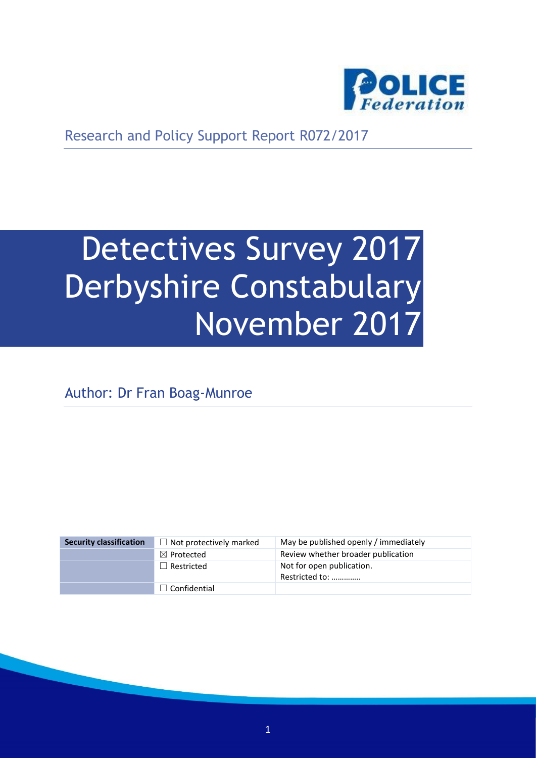

Research and Policy Support Report R072/2017

# Detectives Survey 2017 Derbyshire Constabulary November 2017

Author: Dr Fran Boag-Munroe

| <b>Security classification</b> | $\Box$ Not protectively marked | May be published openly / immediately       |
|--------------------------------|--------------------------------|---------------------------------------------|
|                                | $\boxtimes$ Protected          | Review whether broader publication          |
|                                | $\Box$ Restricted              | Not for open publication.<br>Restricted to: |
|                                | $\Box$ Confidential            |                                             |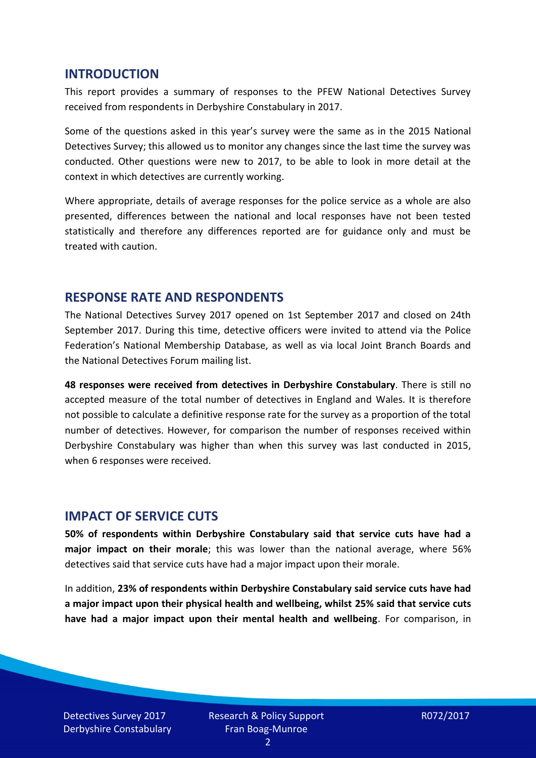#### **INTRODUCTION**

This report provides a summary of responses to the PFEW National Detectives Survey received from respondents in Derbyshire Constabulary in 2017.

Some of the questions asked in this year's survey were the same as in the 2015 National Detectives Survey; this allowed us to monitor any changes since the last time the survey was conducted. Other questions were new to 2017, to be able to look in more detail at the context in which detectives are currently working.

Where appropriate, details of average responses for the police service as a whole are also presented, differences between the national and local responses have not been tested statistically and therefore any differences reported are for guidance only and must be treated with caution.

#### **RESPONSE RATE AND RESPONDENTS**

The National Detectives Survey 2017 opened on 1st September 2017 and closed on 24th September 2017. During this time, detective officers were invited to attend via the Police Federation's National Membership Database, as well as via local Joint Branch Boards and the National Detectives Forum mailing list.

**48 responses were received from detectives in Derbyshire Constabulary**. There is still no accepted measure of the total number of detectives in England and Wales. It is therefore not possible to calculate a definitive response rate for the survey as a proportion of the total number of detectives. However, for comparison the number of responses received within Derbyshire Constabulary was higher than when this survey was last conducted in 2015, when 6 responses were received.

#### **IMPACT OF SERVICE CUTS**

**50% of respondents within Derbyshire Constabulary said that service cuts have had a major impact on their morale**; this was lower than the national average, where 56% detectives said that service cuts have had a major impact upon their morale.

In addition, **23% of respondents within Derbyshire Constabulary said service cuts have had a major impact upon their physical health and wellbeing, whilst 25% said that service cuts have had a major impact upon their mental health and wellbeing**. For comparison, in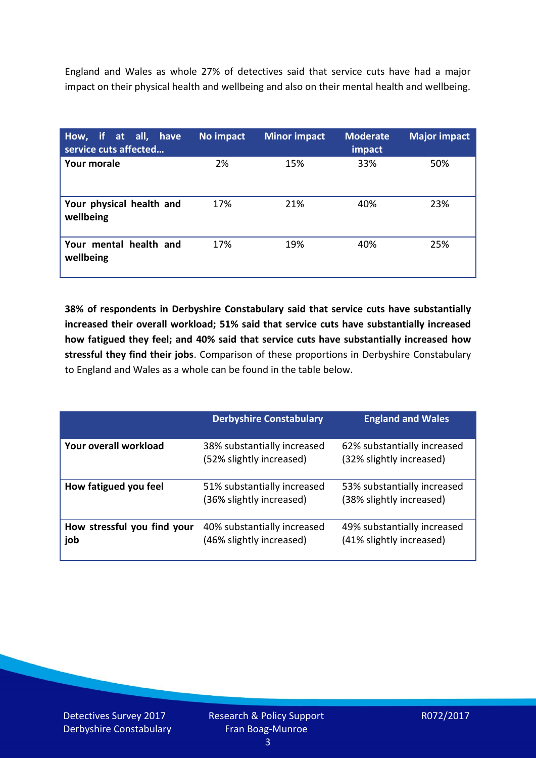England and Wales as whole 27% of detectives said that service cuts have had a major impact on their physical health and wellbeing and also on their mental health and wellbeing.

| How, if at all, have<br>service cuts affected | No impact | <b>Minor impact</b> | <b>Moderate</b><br>impact | <b>Major impact</b> |
|-----------------------------------------------|-----------|---------------------|---------------------------|---------------------|
| <b>Your morale</b>                            | 2%        | 15%                 | 33%                       | 50%                 |
| Your physical health and<br>wellbeing         | 17%       | 21%                 | 40%                       | 23%                 |
| Your mental health and<br>wellbeing           | 17%       | 19%                 | 40%                       | 25%                 |

**38% of respondents in Derbyshire Constabulary said that service cuts have substantially increased their overall workload; 51% said that service cuts have substantially increased how fatigued they feel; and 40% said that service cuts have substantially increased how stressful they find their jobs**. Comparison of these proportions in Derbyshire Constabulary to England and Wales as a whole can be found in the table below.

|                                    | <b>Derbyshire Constabulary</b>                          | <b>England and Wales</b>                                |
|------------------------------------|---------------------------------------------------------|---------------------------------------------------------|
| Your overall workload              | 38% substantially increased<br>(52% slightly increased) | 62% substantially increased<br>(32% slightly increased) |
| How fatigued you feel              | 51% substantially increased<br>(36% slightly increased) | 53% substantially increased<br>(38% slightly increased) |
| How stressful you find your<br>job | 40% substantially increased<br>(46% slightly increased) | 49% substantially increased<br>(41% slightly increased) |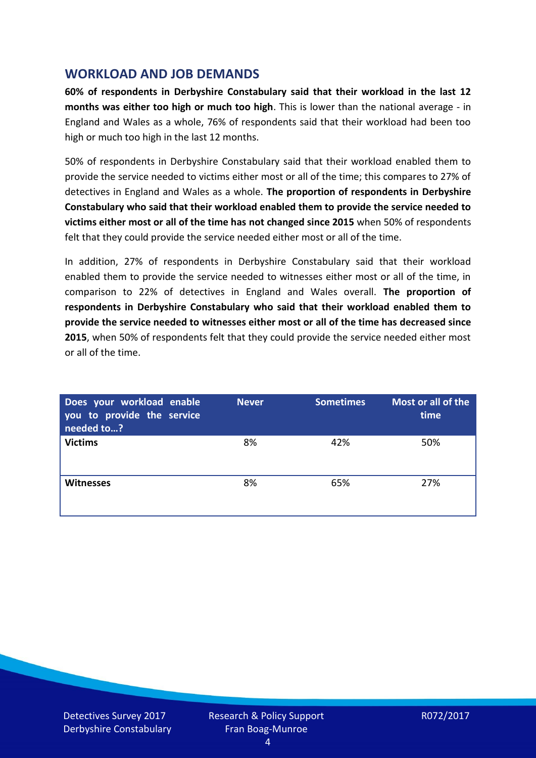### **WORKLOAD AND JOB DEMANDS**

**60% of respondents in Derbyshire Constabulary said that their workload in the last 12 months was either too high or much too high**. This is lower than the national average - in England and Wales as a whole, 76% of respondents said that their workload had been too high or much too high in the last 12 months.

50% of respondents in Derbyshire Constabulary said that their workload enabled them to provide the service needed to victims either most or all of the time; this compares to 27% of detectives in England and Wales as a whole. **The proportion of respondents in Derbyshire Constabulary who said that their workload enabled them to provide the service needed to victims either most or all of the time has not changed since 2015** when 50% of respondents felt that they could provide the service needed either most or all of the time.

In addition, 27% of respondents in Derbyshire Constabulary said that their workload enabled them to provide the service needed to witnesses either most or all of the time, in comparison to 22% of detectives in England and Wales overall. **The proportion of respondents in Derbyshire Constabulary who said that their workload enabled them to provide the service needed to witnesses either most or all of the time has decreased since 2015**, when 50% of respondents felt that they could provide the service needed either most or all of the time.

| Does your workload enable<br>you to provide the service<br>needed to? | <b>Never</b> | <b>Sometimes</b> | Most or all of the<br>time |
|-----------------------------------------------------------------------|--------------|------------------|----------------------------|
| <b>Victims</b>                                                        | 8%           | 42%              | 50%                        |
| <b>Witnesses</b>                                                      | 8%           | 65%              | 27%                        |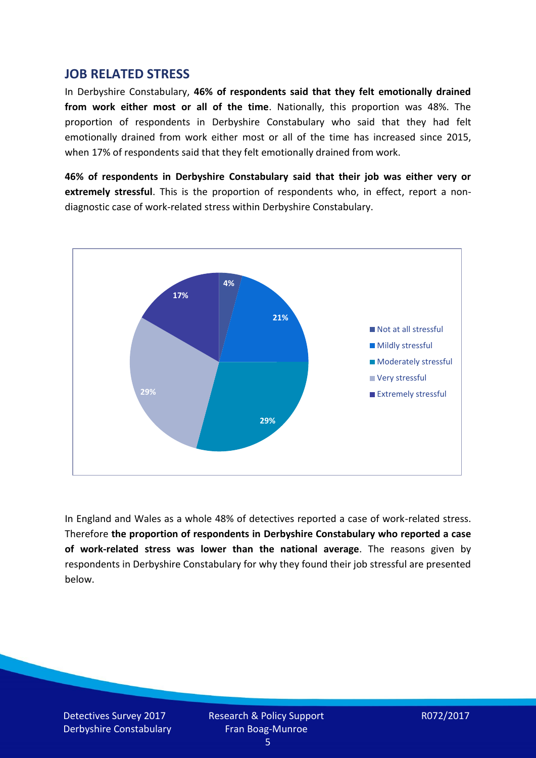#### **JOB RELATED STRESS**

In Derbyshire Constabulary, **46% of respondents said that they felt emotionally drained from work either most or all of the time**. Nationally, this proportion was 48%. The proportion of respondents in Derbyshire Constabulary who said that they had felt emotionally drained from work either most or all of the time has increased since 2015, when 17% of respondents said that they felt emotionally drained from work.

**46% of respondents in Derbyshire Constabulary said that their job was either very or extremely stressful**. This is the proportion of respondents who, in effect, report a nondiagnostic case of work-related stress within Derbyshire Constabulary.



In England and Wales as a whole 48% of detectives reported a case of work-related stress. Therefore **the proportion of respondents in Derbyshire Constabulary who reported a case of work-related stress was lower than the national average**. The reasons given by respondents in Derbyshire Constabulary for why they found their job stressful are presented below.

Detectives Survey 2017 Derbyshire Constabulary Research & Policy Support Fran Boag-Munroe

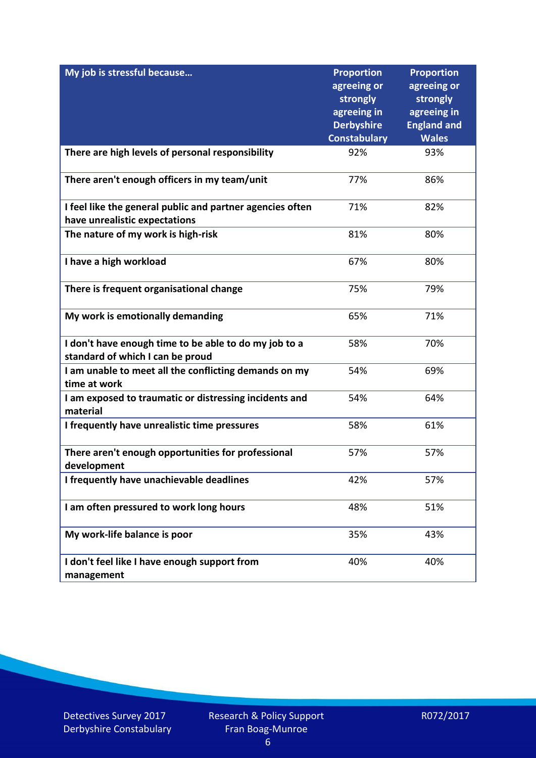| My job is stressful because                                                                | <b>Proportion</b><br>agreeing or<br>strongly | <b>Proportion</b><br>agreeing or<br>strongly |
|--------------------------------------------------------------------------------------------|----------------------------------------------|----------------------------------------------|
|                                                                                            | agreeing in<br><b>Derbyshire</b>             | agreeing in<br><b>England and</b>            |
|                                                                                            | <b>Constabulary</b>                          | <b>Wales</b>                                 |
| There are high levels of personal responsibility                                           | 92%                                          | 93%                                          |
| There aren't enough officers in my team/unit                                               | 77%                                          | 86%                                          |
| I feel like the general public and partner agencies often<br>have unrealistic expectations | 71%                                          | 82%                                          |
| The nature of my work is high-risk                                                         | 81%                                          | 80%                                          |
| I have a high workload                                                                     | 67%                                          | 80%                                          |
| There is frequent organisational change                                                    | 75%                                          | 79%                                          |
| My work is emotionally demanding                                                           | 65%                                          | 71%                                          |
| I don't have enough time to be able to do my job to a<br>standard of which I can be proud  | 58%                                          | 70%                                          |
| I am unable to meet all the conflicting demands on my<br>time at work                      | 54%                                          | 69%                                          |
| I am exposed to traumatic or distressing incidents and<br>material                         | 54%                                          | 64%                                          |
| I frequently have unrealistic time pressures                                               | 58%                                          | 61%                                          |
| There aren't enough opportunities for professional<br>development                          | 57%                                          | 57%                                          |
| I frequently have unachievable deadlines                                                   | 42%                                          | 57%                                          |
| I am often pressured to work long hours                                                    | 48%                                          | 51%                                          |
| My work-life balance is poor                                                               | 35%                                          | 43%                                          |
| I don't feel like I have enough support from<br>management                                 | 40%                                          | 40%                                          |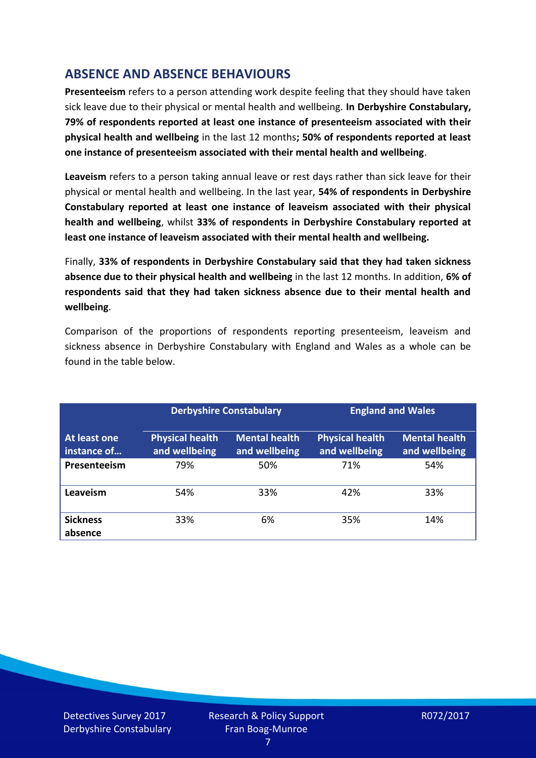# **ABSENCE AND ABSENCE BEHAVIOURS**

**Presenteeism** refers to a person attending work despite feeling that they should have taken sick leave due to their physical or mental health and wellbeing. **In Derbyshire Constabulary, 79% of respondents reported at least one instance of presenteeism associated with their physical health and wellbeing** in the last 12 months**; 50% of respondents reported at least one instance of presenteeism associated with their mental health and wellbeing**.

**Leaveism** refers to a person taking annual leave or rest days rather than sick leave for their physical or mental health and wellbeing. In the last year, **54% of respondents in Derbyshire Constabulary reported at least one instance of leaveism associated with their physical health and wellbeing**, whilst **33% of respondents in Derbyshire Constabulary reported at least one instance of leaveism associated with their mental health and wellbeing.**

Finally, **33% of respondents in Derbyshire Constabulary said that they had taken sickness absence due to their physical health and wellbeing** in the last 12 months. In addition, **6% of respondents said that they had taken sickness absence due to their mental health and wellbeing**.

Comparison of the proportions of respondents reporting presenteeism, leaveism and sickness absence in Derbyshire Constabulary with England and Wales as a whole can be found in the table below.

|                             |                                         | <b>Derbyshire Constabulary</b>        |                                         | <b>England and Wales</b>              |  |
|-----------------------------|-----------------------------------------|---------------------------------------|-----------------------------------------|---------------------------------------|--|
| At least one<br>instance of | <b>Physical health</b><br>and wellbeing | <b>Mental health</b><br>and wellbeing | <b>Physical health</b><br>and wellbeing | <b>Mental health</b><br>and wellbeing |  |
| Presenteeism                | 79%                                     | 50%                                   | 71%                                     | 54%                                   |  |
| Leaveism                    | 54%                                     | 33%                                   | 42%                                     | 33%                                   |  |
| <b>Sickness</b><br>absence  | 33%                                     | 6%                                    | 35%                                     | 14%                                   |  |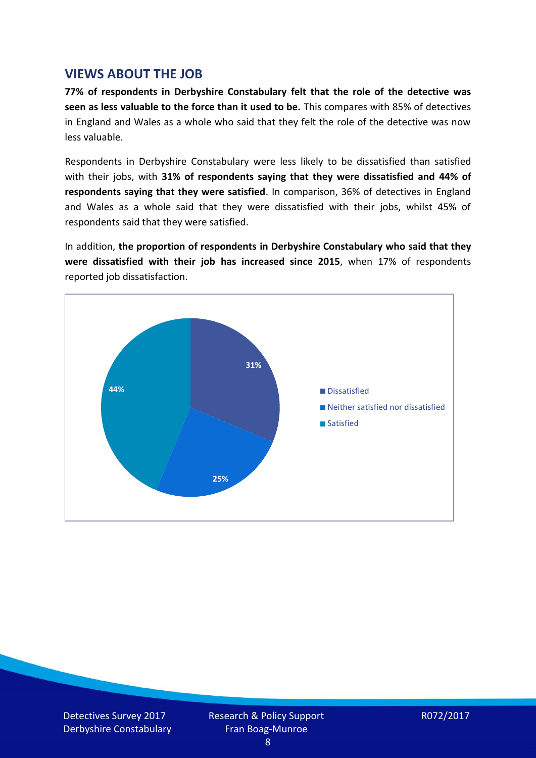#### **VIEWS ABOUT THE JOB**

**77% of respondents in Derbyshire Constabulary felt that the role of the detective was seen as less valuable to the force than it used to be.** This compares with 85% of detectives in England and Wales as a whole who said that they felt the role of the detective was now less valuable.

Respondents in Derbyshire Constabulary were less likely to be dissatisfied than satisfied with their jobs, with **31% of respondents saying that they were dissatisfied and 44% of respondents saying that they were satisfied**. In comparison, 36% of detectives in England and Wales as a whole said that they were dissatisfied with their jobs, whilst 45% of respondents said that they were satisfied.

In addition, **the proportion of respondents in Derbyshire Constabulary who said that they were dissatisfied with their job has increased since 2015**, when 17% of respondents reported job dissatisfaction.



Detectives Survey 2017 Derbyshire Constabulary Research & Policy Support Fran Boag-Munroe

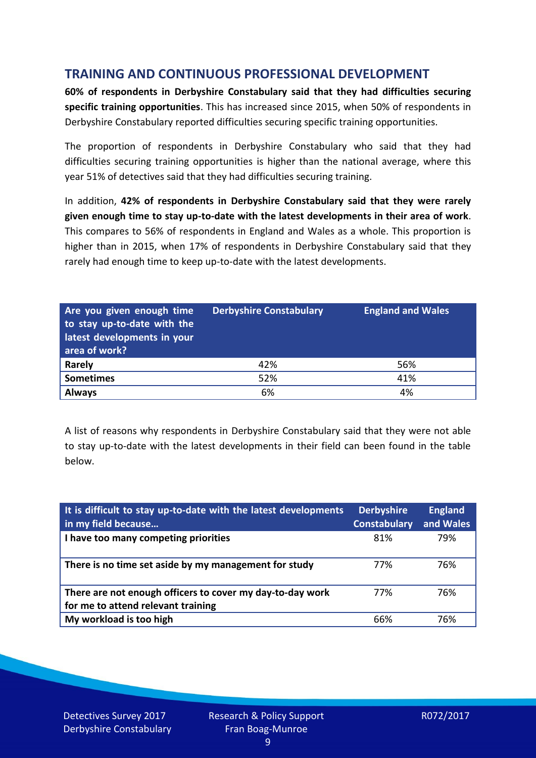## **TRAINING AND CONTINUOUS PROFESSIONAL DEVELOPMENT**

**60% of respondents in Derbyshire Constabulary said that they had difficulties securing specific training opportunities**. This has increased since 2015, when 50% of respondents in Derbyshire Constabulary reported difficulties securing specific training opportunities.

The proportion of respondents in Derbyshire Constabulary who said that they had difficulties securing training opportunities is higher than the national average, where this year 51% of detectives said that they had difficulties securing training.

In addition, **42% of respondents in Derbyshire Constabulary said that they were rarely given enough time to stay up-to-date with the latest developments in their area of work**. This compares to 56% of respondents in England and Wales as a whole. This proportion is higher than in 2015, when 17% of respondents in Derbyshire Constabulary said that they rarely had enough time to keep up-to-date with the latest developments.

| Are you given enough time<br>to stay up-to-date with the<br>latest developments in your<br>area of work? | <b>Derbyshire Constabulary</b> | <b>England and Wales</b> |
|----------------------------------------------------------------------------------------------------------|--------------------------------|--------------------------|
| <b>Rarely</b>                                                                                            | 42%                            | 56%                      |
| <b>Sometimes</b>                                                                                         | 52%                            | 41%                      |
| <b>Always</b>                                                                                            | 6%                             | 4%                       |

A list of reasons why respondents in Derbyshire Constabulary said that they were not able to stay up-to-date with the latest developments in their field can been found in the table below.

| It is difficult to stay up-to-date with the latest developments<br>in my field because          | <b>Derbyshire</b><br><b>Constabulary</b> | <b>England</b><br>and Wales |
|-------------------------------------------------------------------------------------------------|------------------------------------------|-----------------------------|
| I have too many competing priorities                                                            | 81%                                      | 79%                         |
| There is no time set aside by my management for study                                           | 77%                                      | 76%                         |
| There are not enough officers to cover my day-to-day work<br>for me to attend relevant training | 77%                                      | 76%                         |
| My workload is too high                                                                         | 66%                                      | 76%                         |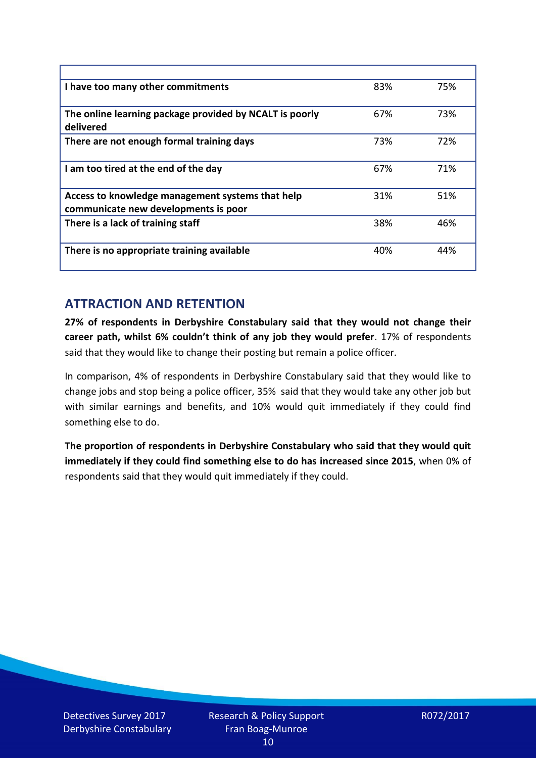| I have too many other commitments                                                        | 83% | 75% |
|------------------------------------------------------------------------------------------|-----|-----|
| The online learning package provided by NCALT is poorly<br>delivered                     | 67% | 73% |
| There are not enough formal training days                                                | 73% | 72% |
| I am too tired at the end of the day                                                     | 67% | 71% |
| Access to knowledge management systems that help<br>communicate new developments is poor | 31% | 51% |
| There is a lack of training staff                                                        | 38% | 46% |
| There is no appropriate training available                                               | 40% | 44% |

## **ATTRACTION AND RETENTION**

**27% of respondents in Derbyshire Constabulary said that they would not change their career path, whilst 6% couldn't think of any job they would prefer**. 17% of respondents said that they would like to change their posting but remain a police officer.

In comparison, 4% of respondents in Derbyshire Constabulary said that they would like to change jobs and stop being a police officer, 35% said that they would take any other job but with similar earnings and benefits, and 10% would quit immediately if they could find something else to do.

**The proportion of respondents in Derbyshire Constabulary who said that they would quit immediately if they could find something else to do has increased since 2015**, when 0% of respondents said that they would quit immediately if they could.

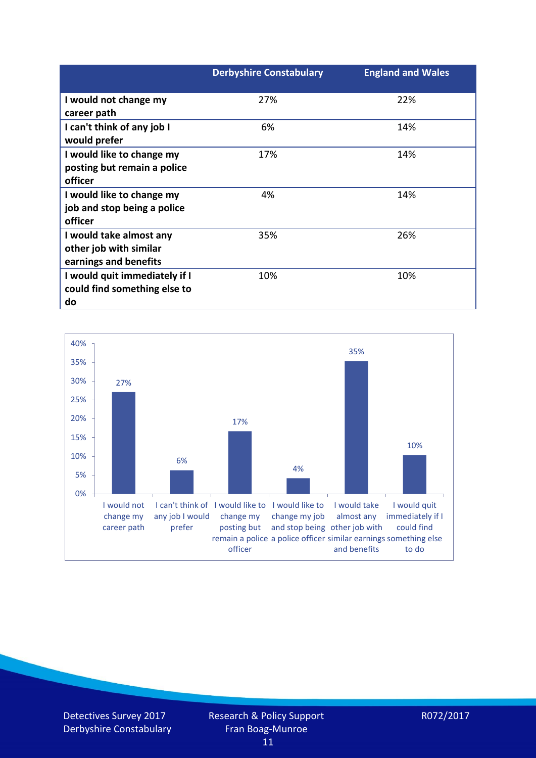|                               | <b>Derbyshire Constabulary</b> | <b>England and Wales</b> |
|-------------------------------|--------------------------------|--------------------------|
| I would not change my         | 27%                            | 22%                      |
| career path                   |                                |                          |
| I can't think of any job I    | 6%                             | 14%                      |
| would prefer                  |                                |                          |
| I would like to change my     | 17%                            | 14%                      |
| posting but remain a police   |                                |                          |
| officer                       |                                |                          |
| I would like to change my     | 4%                             | 14%                      |
| job and stop being a police   |                                |                          |
| officer                       |                                |                          |
| I would take almost any       | 35%                            | 26%                      |
| other job with similar        |                                |                          |
| earnings and benefits         |                                |                          |
| I would quit immediately if I | 10%                            | 10%                      |
| could find something else to  |                                |                          |
| do                            |                                |                          |